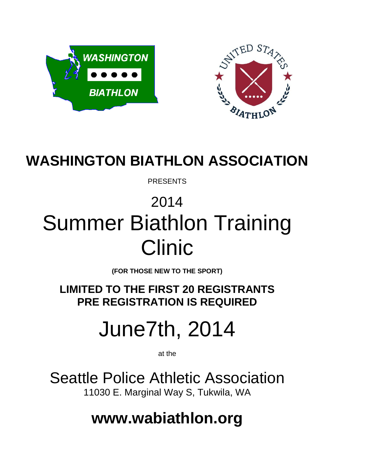



### **WASHINGTON BIATHLON ASSOCIATION**

PRESENTS

## 2014 Summer Biathlon Training Clinic

**(FOR THOSE NEW TO THE SPORT)**

**LIMITED TO THE FIRST 20 REGISTRANTS PRE REGISTRATION IS REQUIRED**

# June7th, 2014

at the

Seattle Police Athletic Association 11030 E. Marginal Way S, Tukwila, WA

**[www.wabiathlon.org](http://www.wabiathlon.org/)**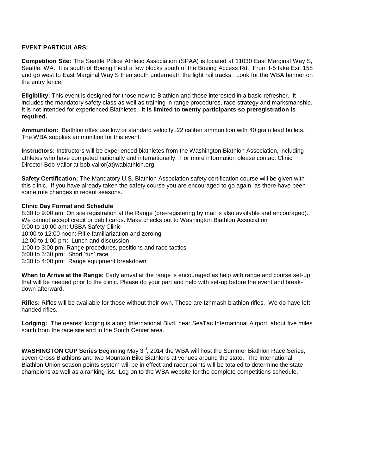#### **EVENT PARTICULARS:**

**Competition Site:** The Seattle Police Athletic Association (SPAA) is located at 11030 East Marginal Way S, Seattle, WA. It is south of Boeing Field a few blocks south of the Boeing Access Rd. From I-5 take Exit 158 and go west to East Marginal Way S then south underneath the light rail tracks. Look for the WBA banner on the entry fence.

**Eligibility:** This event is designed for those new to Biathlon and those interested in a basic refresher. It includes the mandatory safety class as well as training in range procedures, race strategy and marksmanship. It is not intended for experienced Biathletes. **It is limited to twenty participants so preregistration is required.**

**Ammunition:** Biathlon rifles use low or standard velocity .22 caliber ammunition with 40 grain lead bullets. The WBA supplies ammunition for this event.

**Instructors:** Instructors will be experienced biathletes from the Washington Biathlon Association, including athletes who have competed nationally and internationally. For more information please contact Clinic Director Bob Vallor at [bob.vallor\(at\)wabiathlon.org.](mailto:bob.vallor@wabiathlon.org)

**Safety Certification:** The Mandatory U.S. Biathlon Association safety certification course will be given with this clinic. If you have already taken the safety course you are encouraged to go again, as there have been some rule changes in recent seasons.

#### **Clinic Day Format and Schedule**

8:30 to 9:00 am: On site registration at the Range (pre-registering by mail is also available and encouraged). We cannot accept credit or debit cards. Make checks out to Washington Biathlon Association 9:00 to 10:00 am: USBA Safety Clinic 10:00 to 12:00 noon: Rifle familiarization and zeroing 12:00 to 1:00 pm: Lunch and discussion 1:00 to 3:00 pm: Range procedures, positions and race tactics 3:00 to 3:30 pm: Short 'fun' race 3:30 to 4:00 pm: Range equipment breakdown

**When to Arrive at the Range:** Early arrival at the range is encouraged as help with range and course set-up that will be needed prior to the clinic. Please do your part and help with set-up before the event and breakdown afterward.

**Rifles:** Rifles will be available for those without their own. These are Izhmash biathlon rifles. We do have left handed rifles.

**Lodging:** The nearest lodging is along International Blvd. near SeaTac International Airport, about five miles south from the race site and in the South Center area.

WASHINGTON CUP Series Beginning May 3<sup>rd</sup>, 2014 the WBA will host the Summer Biathlon Race Series, seven Cross Biathlons and two Mountain Bike Biathlons at venues around the state. The International Biathlon Union season points system will be in effect and racer points will be totaled to determine the state champions as well as a ranking list. Log on to the WBA website for the complete competitions schedule.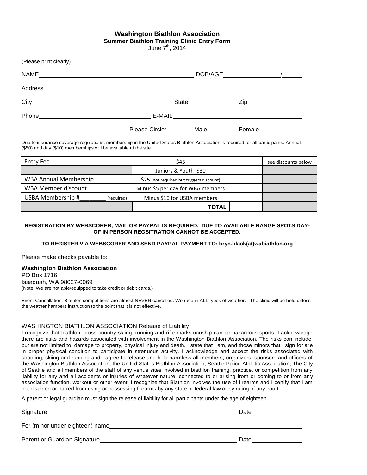#### **Washington Biathlon Association Summer Biathlon Training Clinic Entry Form**

June  $7<sup>th</sup>$ , 2014

(Please print clearly)

| <b>NAME</b>                                                                                                                                                                                                                                              |                | DOB/AGE |        |
|----------------------------------------------------------------------------------------------------------------------------------------------------------------------------------------------------------------------------------------------------------|----------------|---------|--------|
| Address                                                                                                                                                                                                                                                  |                |         |        |
| $City$ and $(x)$ and $(x)$ and $(x)$ and $(x)$ and $(x)$ and $(x)$ and $(x)$ and $(x)$ and $(x)$ and $(x)$ and $(x)$ and $(x)$ and $(x)$ and $(x)$ and $(x)$ and $(x)$ and $(x)$ and $(x)$ and $(x)$ and $(x)$ and $(x)$ and $(x)$ and $(x)$ and $(x)$ a | State          |         |        |
| Phone                                                                                                                                                                                                                                                    | E-MAIL         |         |        |
|                                                                                                                                                                                                                                                          | Please Circle: | Male    | Female |

Due to insurance coverage regulations, membership in the United States Biathlon Association is required for all participants. Annual (\$50) and day (\$10) memberships will be available at the site.

| Entry Fee                       | \$45                                      | see discounts below |
|---------------------------------|-------------------------------------------|---------------------|
|                                 | Juniors & Youth \$30                      |                     |
| <b>WBA Annual Membership</b>    | \$25 (not required but triggers discount) |                     |
| WBA Member discount             | Minus \$5 per day for WBA members         |                     |
| USBA Membership #<br>(required) | Minus \$10 for USBA members               |                     |
|                                 | <b>TOTAL</b>                              |                     |

#### **REGISTRATION BY WEBSCORER, MAIL OR PAYPAL IS REQUIRED. DUE TO AVAILABLE RANGE SPOTS DAY-OF IN PERSON REGSITRATION CANNOT BE ACCEPTED.**

#### **TO REGISTER VIA WEBSCORER AND SEND PAYPAL PAYMENT TO[: bryn.black\(at\)wabiathlon.org](mailto:bryn.black@wabiathlon.org)**

Please make checks payable to:

#### **Washington Biathlon Association**

PO Box 1716 Issaquah, WA 98027-0069 (Note: We are not able/equipped to take credit or debit cards.)

Event Cancellation: Biathlon competitions are almost NEVER cancelled. We race in ALL types of weather. The clinic will be held unless the weather hampers instruction to the point that it is not effective.

#### WASHINGTON BIATHLON ASSOCIATION Release of Liability

I recognize that biathlon, cross country skiing, running and rifle marksmanship can be hazardous sports. I acknowledge there are risks and hazards associated with involvement in the Washington Biathlon Association. The risks can include, but are not limited to, damage to property, physical injury and death. I state that I am, and those minors that I sign for are in proper physical condition to participate in strenuous activity. I acknowledge and accept the risks associated with shooting, skiing and running and I agree to release and hold harmless all members, organizers, sponsors and officers of the Washington Biathlon Association, the United States Biathlon Association, Seattle Police Athletic Association, The City of Seattle and all members of the staff of any venue sites involved in biathlon training, practice, or competition from any liability for any and all accidents or injuries of whatever nature, connected to or arising from or coming to or from any association function, workout or other event. I recognize that Biathlon involves the use of firearms and I certify that I am not disabled or barred from using or possessing firearms by any state or federal law or by ruling of any court.

A parent or legal guardian must sign the release of liability for all participants under the age of eighteen.

| Signature                       | Date |
|---------------------------------|------|
| For (minor under eighteen) name |      |
| Parent or Guardian Signature    | Date |